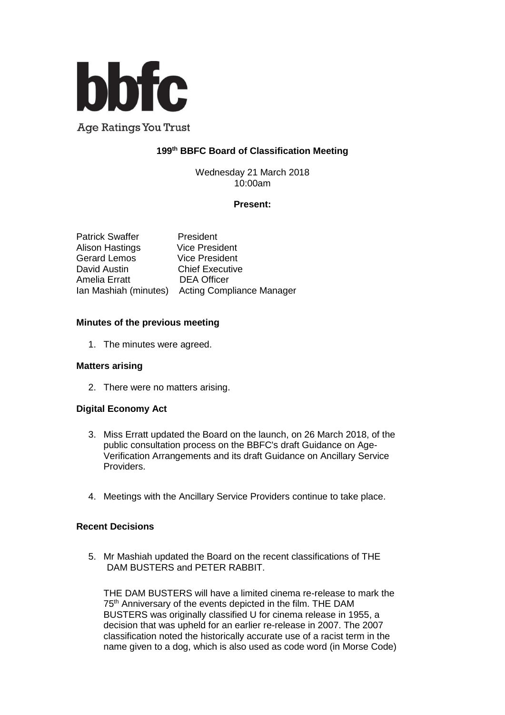

**Age Ratings You Trust** 

# **199 th BBFC Board of Classification Meeting**

Wednesday 21 March 2018 10:00am

## **Present:**

Patrick Swaffer<br>
Alison Hastings<br>
Vice President Alison Hastings Gerard Lemos Vice President David Austin **Chief Executive** Amelia Erratt DEA Officer Ian Mashiah (minutes) Acting Compliance Manager

## **Minutes of the previous meeting**

1. The minutes were agreed.

### **Matters arising**

2. There were no matters arising.

## **Digital Economy Act**

- 3. Miss Erratt updated the Board on the launch, on 26 March 2018, of the public consultation process on the BBFC's draft Guidance on Age-Verification Arrangements and its draft Guidance on Ancillary Service Providers.
- 4. Meetings with the Ancillary Service Providers continue to take place.

## **Recent Decisions**

5. Mr Mashiah updated the Board on the recent classifications of THE DAM BUSTERS and PETER RABBIT.

THE DAM BUSTERS will have a limited cinema re-release to mark the 75th Anniversary of the events depicted in the film. THE DAM BUSTERS was originally classified U for cinema release in 1955, a decision that was upheld for an earlier re-release in 2007. The 2007 classification noted the historically accurate use of a racist term in the name given to a dog, which is also used as code word (in Morse Code)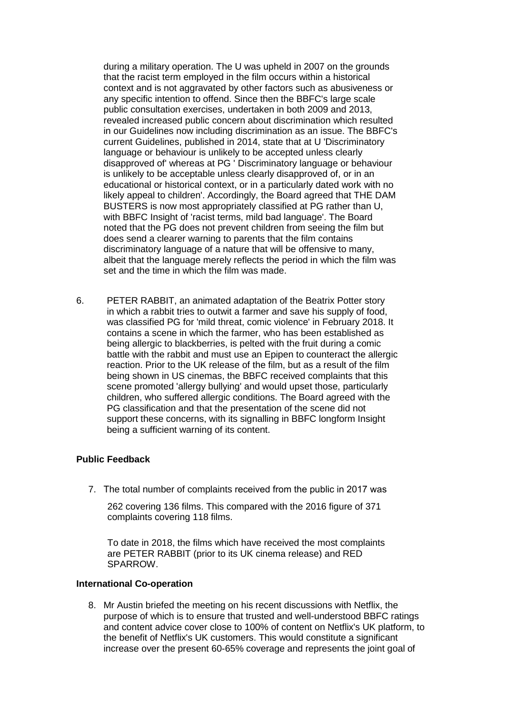during a military operation. The U was upheld in 2007 on the grounds that the racist term employed in the film occurs within a historical context and is not aggravated by other factors such as abusiveness or any specific intention to offend. Since then the BBFC's large scale public consultation exercises, undertaken in both 2009 and 2013, revealed increased public concern about discrimination which resulted in our Guidelines now including discrimination as an issue. The BBFC's current Guidelines, published in 2014, state that at U 'Discriminatory language or behaviour is unlikely to be accepted unless clearly disapproved of' whereas at PG ' Discriminatory language or behaviour is unlikely to be acceptable unless clearly disapproved of, or in an educational or historical context, or in a particularly dated work with no likely appeal to children'. Accordingly, the Board agreed that THE DAM BUSTERS is now most appropriately classified at PG rather than U, with BBFC Insight of 'racist terms, mild bad language'. The Board noted that the PG does not prevent children from seeing the film but does send a clearer warning to parents that the film contains discriminatory language of a nature that will be offensive to many, albeit that the language merely reflects the period in which the film was set and the time in which the film was made.

6. PETER RABBIT, an animated adaptation of the Beatrix Potter story in which a rabbit tries to outwit a farmer and save his supply of food, was classified PG for 'mild threat, comic violence' in February 2018. It contains a scene in which the farmer, who has been established as being allergic to blackberries, is pelted with the fruit during a comic battle with the rabbit and must use an Epipen to counteract the allergic reaction. Prior to the UK release of the film, but as a result of the film being shown in US cinemas, the BBFC received complaints that this scene promoted 'allergy bullying' and would upset those, particularly children, who suffered allergic conditions. The Board agreed with the PG classification and that the presentation of the scene did not support these concerns, with its signalling in BBFC longform Insight being a sufficient warning of its content.

### **Public Feedback**

7. The total number of complaints received from the public in 2017 was

262 covering 136 films. This compared with the 2016 figure of 371 complaints covering 118 films.

To date in 2018, the films which have received the most complaints are PETER RABBIT (prior to its UK cinema release) and RED SPARROW.

### **International Co-operation**

8. Mr Austin briefed the meeting on his recent discussions with Netflix, the purpose of which is to ensure that trusted and well-understood BBFC ratings and content advice cover close to 100% of content on Netflix's UK platform, to the benefit of Netflix's UK customers. This would constitute a significant increase over the present 60-65% coverage and represents the joint goal of